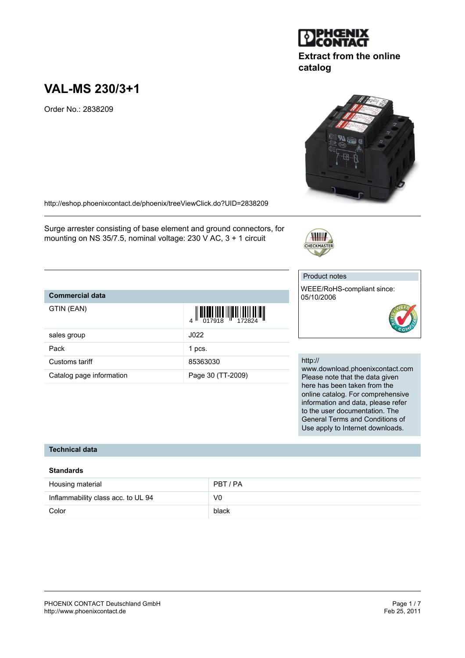# **VAL-MS 230/3+1**

Order No.: 2838209

<http://eshop.phoenixcontact.de/phoenix/treeViewClick.do?UID=2838209>

Surge arrester consisting of base element and ground connectors, for mounting on NS 35/7.5, nominal voltage: 230 V AC, 3 + 1 circuit

## Product notes

CHECKMA

WEEE/RoHS-compliant since: 05/10/2006





http://

www.download.phoenixcontact.com Please note that the data given here has been taken from the online catalog. For comprehensive information and data, please refer to the user documentation. The General Terms and Conditions of Use apply to Internet downloads.

# **Technical data**

**Commercial data**

GTIN (EAN)

#### **Standards**

| Housing material                   | PBT/PA |
|------------------------------------|--------|
| Inflammability class acc. to UL 94 | V0     |
| Color                              | black  |



**catalog**



|                          | $\begin{array}{c} 4 \overline{11} \overline{11} \overline{11} \overline{11} \overline{11} \overline{11} \overline{11} \overline{11} \overline{11} \overline{11} \overline{11} \overline{11} \overline{11} \overline{11} \overline{11} \overline{11} \overline{11} \end{array}$ |
|--------------------------|--------------------------------------------------------------------------------------------------------------------------------------------------------------------------------------------------------------------------------------------------------------------------------|
| sales group              | J022                                                                                                                                                                                                                                                                           |
| Pack                     | 1 pcs.                                                                                                                                                                                                                                                                         |
| Customs tariff           | 85363030                                                                                                                                                                                                                                                                       |
| Catalog page information | Page 30 (TT-2009)                                                                                                                                                                                                                                                              |
|                          |                                                                                                                                                                                                                                                                                |

II OII OO III O I IIIO OI IOO II OO O

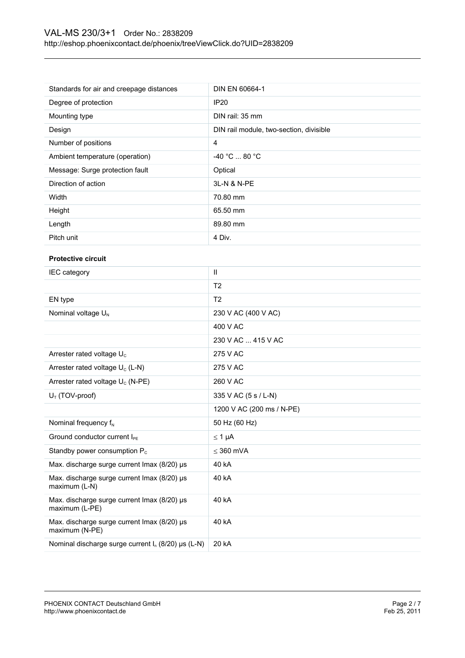| Standards for air and creepage distances    | DIN EN 60664-1                          |  |
|---------------------------------------------|-----------------------------------------|--|
| Degree of protection                        | <b>IP20</b>                             |  |
| Mounting type                               | DIN rail: 35 mm                         |  |
| Design                                      | DIN rail module, two-section, divisible |  |
| Number of positions                         | $\overline{4}$                          |  |
| Ambient temperature (operation)             | -40 °C  80 °C                           |  |
| Message: Surge protection fault             | Optical                                 |  |
| Direction of action                         | 3L-N & N-PE                             |  |
| Width                                       | 70.80 mm                                |  |
| Height                                      | 65.50 mm                                |  |
| Length                                      | 89.80 mm                                |  |
| Pitch unit                                  | 4 Div.                                  |  |
| <b>Protective circuit</b>                   |                                         |  |
| IEC category                                | $\mathbf{II}$                           |  |
|                                             | T <sub>2</sub>                          |  |
| EN type                                     | T <sub>2</sub>                          |  |
| Nominal voltage U <sub>N</sub>              | 230 V AC (400 V AC)                     |  |
|                                             | 400 V AC                                |  |
|                                             | 230 V AC  415 V AC                      |  |
| Arrester rated voltage U <sub>c</sub>       | 275 V AC                                |  |
| Arrester rated voltage U <sub>c</sub> (L-N) | 275 V AC                                |  |
| Arrester rated voltage $U_c$ (N-PE)         | 260 V AC                                |  |
| $U_T$ (TOV-proof)                           | 335 V AC (5 s / L-N)                    |  |

| $UT$ (TOV-proof)                                              | $335$ V AC (5 s / L-N)    |
|---------------------------------------------------------------|---------------------------|
|                                                               | 1200 V AC (200 ms / N-PE) |
| Nominal frequency $f_N$                                       | 50 Hz (60 Hz)             |
| Ground conductor current I <sub>PE</sub>                      | $\leq 1$ µA               |
| Standby power consumption $P_c$                               | $<$ 360 mVA               |
| Max. discharge surge current Imax (8/20) µs                   | 40 kA                     |
| Max. discharge surge current Imax (8/20) µs<br>maximum (L-N)  | 40 kA                     |
| Max. discharge surge current Imax (8/20) µs<br>maximum (L-PE) | 40 kA                     |
| Max. discharge surge current Imax (8/20) µs<br>maximum (N-PE) | 40 kA                     |
| Nominal discharge surge current $I_n$ (8/20) µs (L-N)         | 20 kA                     |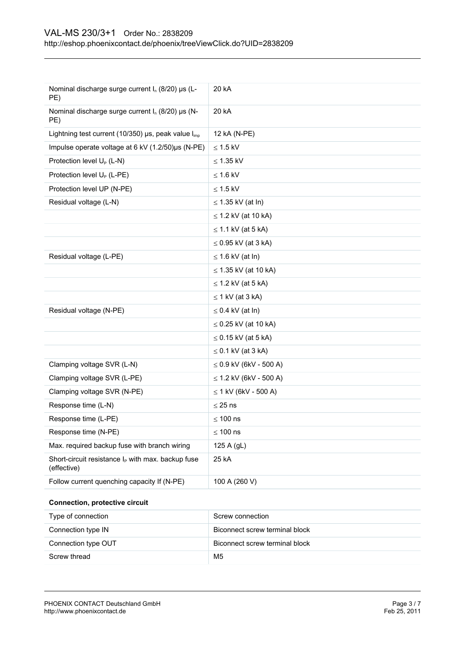| Nominal discharge surge current I <sub>n</sub> (8/20) µs (L-<br>PE)          | 20 kA                       |
|------------------------------------------------------------------------------|-----------------------------|
| Nominal discharge surge current $I_n$ (8/20) µs (N-<br>PE)                   | 20 kA                       |
| Lightning test current (10/350) $\mu$ s, peak value $I_{\text{imp}}$         | 12 kA (N-PE)                |
| Impulse operate voltage at 6 kV (1.2/50)µs (N-PE)                            | $\leq$ 1.5 kV               |
| Protection level U <sub>P</sub> (L-N)                                        | $\leq$ 1.35 kV              |
| Protection level U <sub>P</sub> (L-PE)                                       | $\leq 1.6$ kV               |
| Protection level UP (N-PE)                                                   | $\leq$ 1.5 kV               |
| Residual voltage (L-N)                                                       | $\leq$ 1.35 kV (at ln)      |
|                                                                              | $\leq$ 1.2 kV (at 10 kA)    |
|                                                                              | $\leq$ 1.1 kV (at 5 kA)     |
|                                                                              | $\leq$ 0.95 kV (at 3 kA)    |
| Residual voltage (L-PE)                                                      | $\leq$ 1.6 kV (at ln)       |
|                                                                              | ≤ 1.35 kV (at 10 kA)        |
|                                                                              | $\leq$ 1.2 kV (at 5 kA)     |
|                                                                              | $\leq$ 1 kV (at 3 kA)       |
| Residual voltage (N-PE)                                                      | $\leq$ 0.4 kV (at ln)       |
|                                                                              | ≤ 0.25 kV (at 10 kA)        |
|                                                                              | $\leq$ 0.15 kV (at 5 kA)    |
|                                                                              | $\leq$ 0.1 kV (at 3 kA)     |
| Clamping voltage SVR (L-N)                                                   | $\leq$ 0.9 kV (6kV - 500 A) |
| Clamping voltage SVR (L-PE)                                                  | $\leq$ 1.2 kV (6kV - 500 A) |
| Clamping voltage SVR (N-PE)                                                  | $\leq$ 1 kV (6kV - 500 A)   |
| Response time (L-N)                                                          | $\leq$ 25 ns                |
| Response time (L-PE)                                                         | $\leq 100$ ns               |
| Response time (N-PE)                                                         | $\leq$ 100 ns               |
| Max. required backup fuse with branch wiring                                 | 125 A (gL)                  |
| Short-circuit resistance I <sub>P</sub> with max. backup fuse<br>(effective) | 25 kA                       |
| Follow current quenching capacity If (N-PE)                                  | 100 A (260 V)               |
|                                                                              |                             |

## **Connection, protective circuit**

| Type of connection  | Screw connection               |
|---------------------|--------------------------------|
| Connection type IN  | Biconnect screw terminal block |
| Connection type OUT | Biconnect screw terminal block |
| Screw thread        | M <sub>5</sub>                 |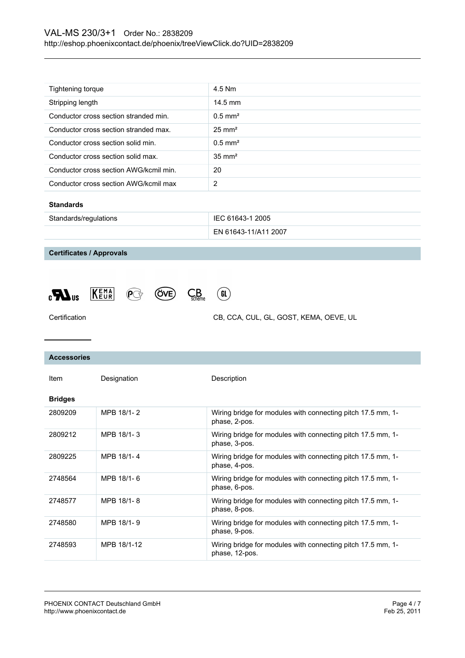| Tightening torque                      | 4.5 Nm             |
|----------------------------------------|--------------------|
| Stripping length                       | $14.5$ mm          |
| Conductor cross section stranded min.  | $0.5 \text{ mm}^2$ |
| Conductor cross section stranded max.  | $25 \text{ mm}^2$  |
| Conductor cross section solid min.     | $0.5 \text{ mm}^2$ |
| Conductor cross section solid max.     | $35 \text{ mm}^2$  |
| Conductor cross section AWG/kcmil min. | 20                 |
| Conductor cross section AWG/kcmil max  | 2                  |
|                                        |                    |

#### **Standards**

| Standards/regulations | IEC 61643-1 2005     |
|-----------------------|----------------------|
|                       | EN 61643-11/A11 2007 |

**Certificates / Approvals**







Certification CB, CCA, CUL, GL, GOST, KEMA, OEVE, UL

| <b>Accessories</b> |             |                                                                               |
|--------------------|-------------|-------------------------------------------------------------------------------|
| Item               | Designation | Description                                                                   |
| <b>Bridges</b>     |             |                                                                               |
| 2809209            | MPB 18/1-2  | Wiring bridge for modules with connecting pitch 17.5 mm, 1-<br>phase, 2-pos.  |
| 2809212            | MPB 18/1-3  | Wiring bridge for modules with connecting pitch 17.5 mm, 1-<br>phase, 3-pos.  |
| 2809225            | MPB 18/1-4  | Wiring bridge for modules with connecting pitch 17.5 mm, 1-<br>phase, 4-pos.  |
| 2748564            | MPB 18/1-6  | Wiring bridge for modules with connecting pitch 17.5 mm, 1-<br>phase, 6-pos.  |
| 2748577            | MPB 18/1-8  | Wiring bridge for modules with connecting pitch 17.5 mm, 1-<br>phase, 8-pos.  |
| 2748580            | MPB 18/1-9  | Wiring bridge for modules with connecting pitch 17.5 mm, 1-<br>phase, 9-pos.  |
| 2748593            | MPB 18/1-12 | Wiring bridge for modules with connecting pitch 17.5 mm, 1-<br>phase, 12-pos. |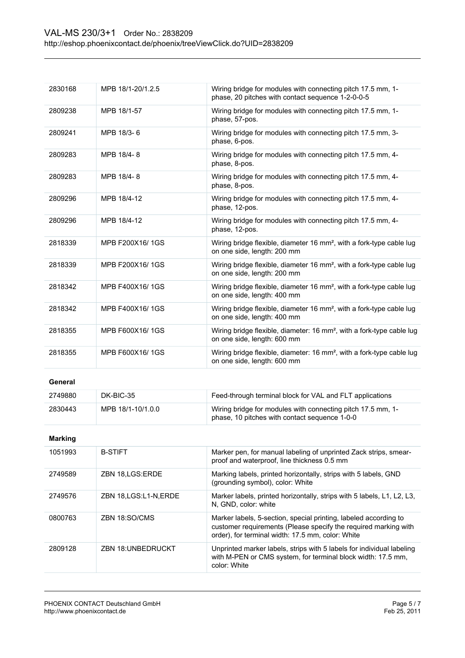| 2830168        | MPB 18/1-20/1.2.5        | Wiring bridge for modules with connecting pitch 17.5 mm, 1-<br>phase, 20 pitches with contact sequence 1-2-0-0-5                                                                         |
|----------------|--------------------------|------------------------------------------------------------------------------------------------------------------------------------------------------------------------------------------|
| 2809238        | MPB 18/1-57              | Wiring bridge for modules with connecting pitch 17.5 mm, 1-<br>phase, 57-pos.                                                                                                            |
| 2809241        | MPB 18/3-6               | Wiring bridge for modules with connecting pitch 17.5 mm, 3-<br>phase, 6-pos.                                                                                                             |
| 2809283        | MPB 18/4-8               | Wiring bridge for modules with connecting pitch 17.5 mm, 4-<br>phase, 8-pos.                                                                                                             |
| 2809283        | MPB 18/4-8               | Wiring bridge for modules with connecting pitch 17.5 mm, 4-<br>phase, 8-pos.                                                                                                             |
| 2809296        | MPB 18/4-12              | Wiring bridge for modules with connecting pitch 17.5 mm, 4-<br>phase, 12-pos.                                                                                                            |
| 2809296        | MPB 18/4-12              | Wiring bridge for modules with connecting pitch 17.5 mm, 4-<br>phase, 12-pos.                                                                                                            |
| 2818339        | MPB F200X16/1GS          | Wiring bridge flexible, diameter 16 mm <sup>2</sup> , with a fork-type cable lug<br>on one side, length: 200 mm                                                                          |
| 2818339        | MPB F200X16/1GS          | Wiring bridge flexible, diameter 16 mm <sup>2</sup> , with a fork-type cable lug<br>on one side, length: 200 mm                                                                          |
| 2818342        | MPB F400X16/1GS          | Wiring bridge flexible, diameter 16 mm <sup>2</sup> , with a fork-type cable lug<br>on one side, length: 400 mm                                                                          |
| 2818342        | MPB F400X16/1GS          | Wiring bridge flexible, diameter 16 mm <sup>2</sup> , with a fork-type cable lug<br>on one side, length: 400 mm                                                                          |
| 2818355        | MPB F600X16/1GS          | Wiring bridge flexible, diameter: 16 mm <sup>2</sup> , with a fork-type cable lug<br>on one side, length: 600 mm                                                                         |
| 2818355        | MPB F600X16/1GS          | Wiring bridge flexible, diameter: 16 mm <sup>2</sup> , with a fork-type cable lug<br>on one side, length: 600 mm                                                                         |
| General        |                          |                                                                                                                                                                                          |
| 2749880        | DK-BIC-35                | Feed-through terminal block for VAL and FLT applications                                                                                                                                 |
| 2830443        | MPB 18/1-10/1.0.0        | Wiring bridge for modules with connecting pitch 17.5 mm, 1-<br>phase, 10 pitches with contact sequence 1-0-0                                                                             |
| <b>Marking</b> |                          |                                                                                                                                                                                          |
| 1051993        | <b>B-STIFT</b>           | Marker pen, for manual labeling of unprinted Zack strips, smear-<br>proof and waterproof, line thickness 0.5 mm                                                                          |
| 2749589        | ZBN 18, LGS: ERDE        | Marking labels, printed horizontally, strips with 5 labels, GND<br>(grounding symbol), color: White                                                                                      |
| 2749576        | ZBN 18, LGS: L1-N, ERDE  | Marker labels, printed horizontally, strips with 5 labels, L1, L2, L3,<br>N, GND, color: white                                                                                           |
| 0800763        | ZBN 18:SO/CMS            | Marker labels, 5-section, special printing, labeled according to<br>customer requirements (Please specify the required marking with<br>order), for terminal width: 17.5 mm, color: White |
| 2809128        | <b>ZBN 18:UNBEDRUCKT</b> | Unprinted marker labels, strips with 5 labels for individual labeling<br>with M-PEN or CMS system, for terminal block width: 17.5 mm,<br>color: White                                    |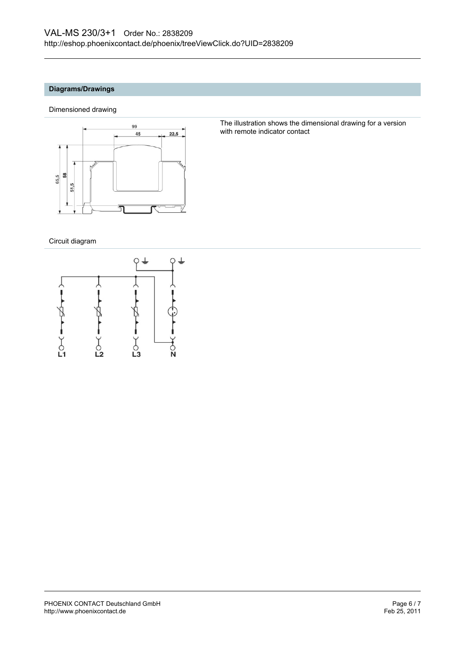## **Diagrams/Drawings**

Dimensioned drawing



The illustration shows the dimensional drawing for a version with remote indicator contact

Circuit diagram